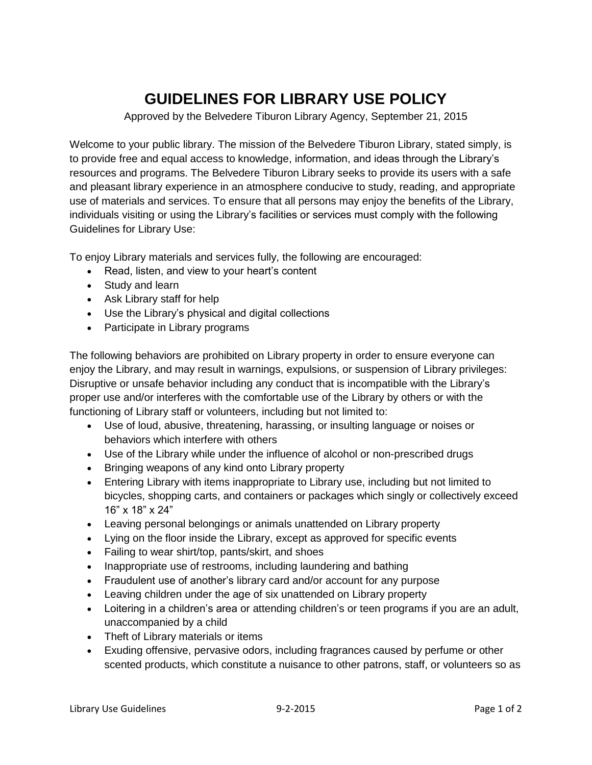## **GUIDELINES FOR LIBRARY USE POLICY**

Approved by the Belvedere Tiburon Library Agency, September 21, 2015

Welcome to your public library. The mission of the Belvedere Tiburon Library, stated simply, is to provide free and equal access to knowledge, information, and ideas through the Library's resources and programs. The Belvedere Tiburon Library seeks to provide its users with a safe and pleasant library experience in an atmosphere conducive to study, reading, and appropriate use of materials and services. To ensure that all persons may enjoy the benefits of the Library, individuals visiting or using the Library's facilities or services must comply with the following Guidelines for Library Use:

To enjoy Library materials and services fully, the following are encouraged:

- Read, listen, and view to your heart's content
- Study and learn
- Ask Library staff for help
- Use the Library's physical and digital collections
- Participate in Library programs

The following behaviors are prohibited on Library property in order to ensure everyone can enjoy the Library, and may result in warnings, expulsions, or suspension of Library privileges: Disruptive or unsafe behavior including any conduct that is incompatible with the Library's proper use and/or interferes with the comfortable use of the Library by others or with the functioning of Library staff or volunteers, including but not limited to:

- Use of loud, abusive, threatening, harassing, or insulting language or noises or behaviors which interfere with others
- Use of the Library while under the influence of alcohol or non-prescribed drugs
- Bringing weapons of any kind onto Library property
- Entering Library with items inappropriate to Library use, including but not limited to bicycles, shopping carts, and containers or packages which singly or collectively exceed 16" x 18" x 24"
- Leaving personal belongings or animals unattended on Library property
- Lying on the floor inside the Library, except as approved for specific events
- Failing to wear shirt/top, pants/skirt, and shoes
- Inappropriate use of restrooms, including laundering and bathing
- Fraudulent use of another's library card and/or account for any purpose
- Leaving children under the age of six unattended on Library property
- Loitering in a children's area or attending children's or teen programs if you are an adult, unaccompanied by a child
- Theft of Library materials or items
- Exuding offensive, pervasive odors, including fragrances caused by perfume or other scented products, which constitute a nuisance to other patrons, staff, or volunteers so as